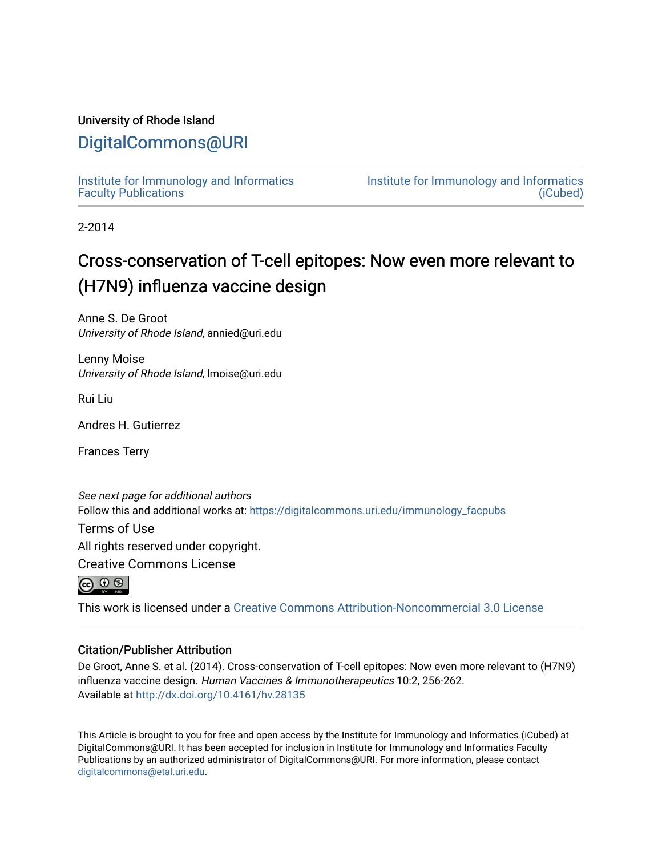## University of Rhode Island

## [DigitalCommons@URI](https://digitalcommons.uri.edu/)

[Institute for Immunology and Informatics](https://digitalcommons.uri.edu/immunology_facpubs) [Faculty Publications](https://digitalcommons.uri.edu/immunology_facpubs)

[Institute for Immunology and Informatics](https://digitalcommons.uri.edu/immunology)  [\(iCubed\)](https://digitalcommons.uri.edu/immunology) 

2-2014

# Cross-conservation of T-cell epitopes: Now even more relevant to (H7N9) influenza vaccine design

Anne S. De Groot University of Rhode Island, annied@uri.edu

Lenny Moise University of Rhode Island, lmoise@uri.edu

Rui Liu

Andres H. Gutierrez

Frances Terry

See next page for additional authors Follow this and additional works at: [https://digitalcommons.uri.edu/immunology\\_facpubs](https://digitalcommons.uri.edu/immunology_facpubs?utm_source=digitalcommons.uri.edu%2Fimmunology_facpubs%2F8&utm_medium=PDF&utm_campaign=PDFCoverPages)

Terms of Use

All rights reserved under copyright.

Creative Commons License



This work is licensed under a [Creative Commons Attribution-Noncommercial 3.0 License](https://creativecommons.org/licenses/by-nc/3.0/)

## Citation/Publisher Attribution

De Groot, Anne S. et al. (2014). Cross-conservation of T-cell epitopes: Now even more relevant to (H7N9) influenza vaccine design. Human Vaccines & Immunotherapeutics 10:2, 256-262. Available at <http://dx.doi.org/10.4161/hv.28135>

This Article is brought to you for free and open access by the Institute for Immunology and Informatics (iCubed) at DigitalCommons@URI. It has been accepted for inclusion in Institute for Immunology and Informatics Faculty Publications by an authorized administrator of DigitalCommons@URI. For more information, please contact [digitalcommons@etal.uri.edu](mailto:digitalcommons@etal.uri.edu).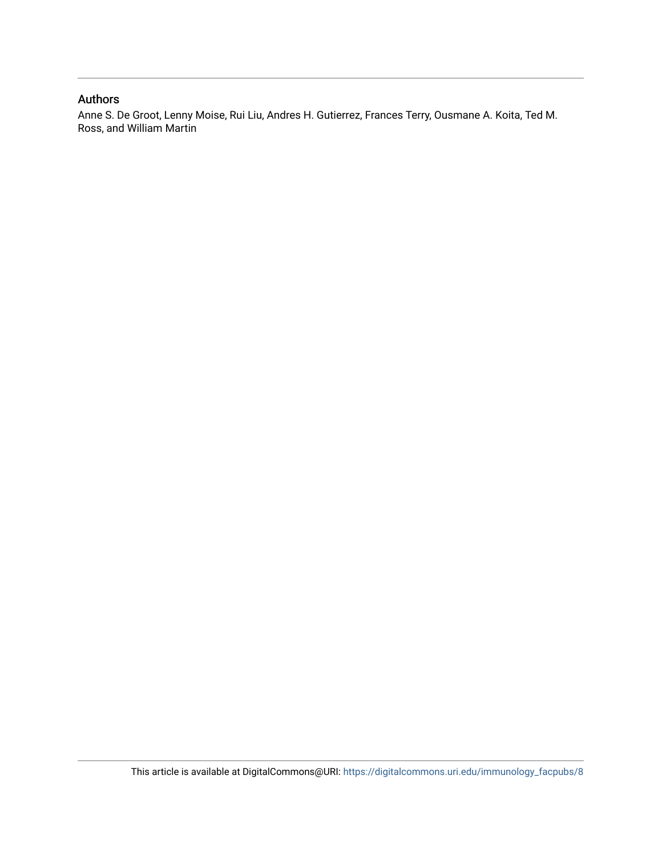## Authors

Anne S. De Groot, Lenny Moise, Rui Liu, Andres H. Gutierrez, Frances Terry, Ousmane A. Koita, Ted M. Ross, and William Martin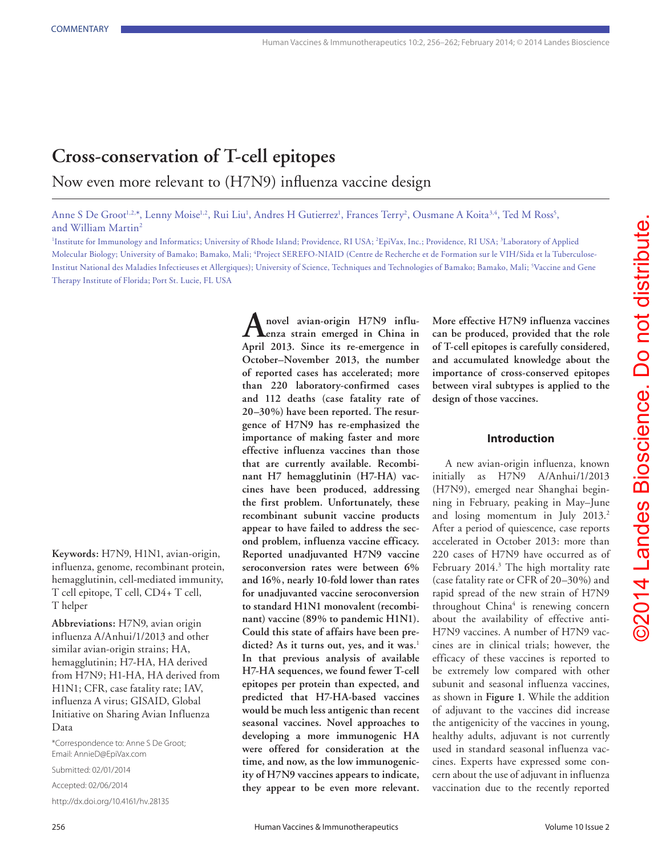## **Cross-conservation of T-cell epitopes** Now even more relevant to (H7N9) influenza vaccine design

Anne S De Groot<sup>1,2,\*</sup>, Lenny Moise<sup>1,2</sup>, Rui Liu<sup>1</sup>, Andres H Gutierrez<sup>1</sup>, Frances Terry<sup>2</sup>, Ousmane A Koita<sup>3,4</sup>, Ted M Ross<sup>5</sup>, and William Martin2

<sup>1</sup>Institute for Immunology and Informatics; University of Rhode Island; Providence, RI USA; <sup>2</sup>EpiVax, Inc.; Providence, RI USA; <sup>3</sup>Laboratory of Applied Molecular Biology; University of Bamako; Bamako, Mali; 4 Project SEREFO-NIAID (Centre de Recherche et de Formation sur le VIH/Sida et la Tuberculose-Institut National des Maladies Infectieuses et Allergiques); University of Science, Techniques and Technologies of Bamako; Bamako, Mali; 5 Vaccine and Gene Therapy Institute of Florida; Port St. Lucie, FL USA

**Keywords:** H7N9, H1N1, avian-origin, influenza, genome, recombinant protein, hemagglutinin, cell-mediated immunity, T cell epitope, T cell, CD4+ T cell, T helper

**Abbreviations:** H7N9, avian origin influenza A/Anhui/1/2013 and other similar avian-origin strains; HA, hemagglutinin; H7-HA, HA derived from H7N9; H1-HA, HA derived from H1N1; CFR, case fatality rate; IAV, influenza A virus; GISAID, Global Initiative on Sharing Avian Influenza Data

\*Correspondence to: Anne S De Groot; Email: AnnieD@EpiVax.com

Submitted: 02/01/2014

Accepted: 02/06/2014 http://dx.doi.org/10.4161/hv.28135

**Anovel avian-origin H7N9 influenza strain emerged in China in April 2013. Since its re-emergence in October–November 2013, the number of reported cases has accelerated; more than 220 laboratory-confirmed cases and 112 deaths (case fatality rate of 20–30%) have been reported. The resurgence of H7N9 has re-emphasized the importance of making faster and more effective influenza vaccines than those that are currently available. Recombinant H7 hemagglutinin (H7-HA) vaccines have been produced, addressing the first problem. Unfortunately, these recombinant subunit vaccine products appear to have failed to address the second problem, influenza vaccine efficacy. Reported unadjuvanted H7N9 vaccine seroconversion rates were between 6% and 16%, nearly 10-fold lower than rates for unadjuvanted vaccine seroconversion to standard H1N1 monovalent (recombinant) vaccine (89% to pandemic H1N1). Could this state of affairs have been predicted? As it turns out, yes, and it was.**<sup>1</sup> **In that previous analysis of available H7-HA sequences, we found fewer T-cell epitopes per protein than expected, and predicted that H7-HA-based vaccines would be much less antigenic than recent seasonal vaccines. Novel approaches to developing a more immunogenic HA were offered for consideration at the time, and now, as the low immunogenicity of H7N9 vaccines appears to indicate, they appear to be even more relevant.** 

**More effective H7N9 influenza vaccines can be produced, provided that the role of T-cell epitopes is carefully considered, and accumulated knowledge about the importance of cross-conserved epitopes between viral subtypes is applied to the design of those vaccines.**

#### **Introduction**

A new avian-origin influenza, known initially as H7N9 A/Anhui/1/2013 (H7N9), emerged near Shanghai beginning in February, peaking in May–June and losing momentum in July 2013.<sup>2</sup> After a period of quiescence, case reports accelerated in October 2013: more than 220 cases of H7N9 have occurred as of February 2014.<sup>3</sup> The high mortality rate (case fatality rate or CFR of 20–30%) and rapid spread of the new strain of H7N9 throughout China<sup>4</sup> is renewing concern about the availability of effective anti-H7N9 vaccines. A number of H7N9 vaccines are in clinical trials; however, the efficacy of these vaccines is reported to be extremely low compared with other subunit and seasonal influenza vaccines, as shown in **Figure 1**. While the addition of adjuvant to the vaccines did increase the antigenicity of the vaccines in young, healthy adults, adjuvant is not currently used in standard seasonal influenza vaccines. Experts have expressed some concern about the use of adjuvant in influenza vaccination due to the recently reported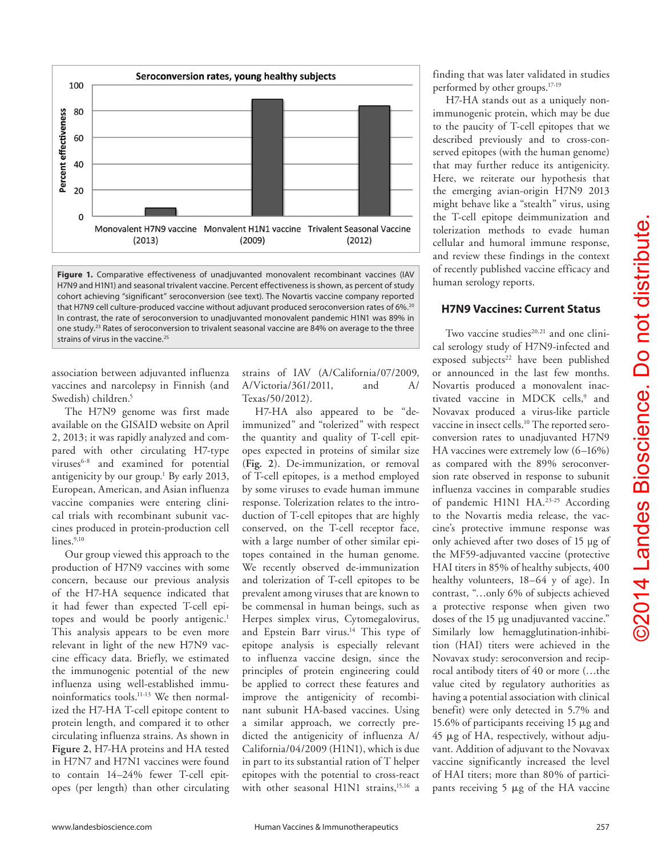

**Figure 1.** Comparative effectiveness of unadjuvanted monovalent recombinant vaccines (IAV H7N9 and H1N1) and seasonal trivalent vaccine. Percent effectiveness is shown, as percent of study cohort achieving "significant" seroconversion (see text). The Novartis vaccine company reported that H7N9 cell culture-produced vaccine without adjuvant produced seroconversion rates of 6%.<sup>20</sup> In contrast, the rate of seroconversion to unadjuvanted monovalent pandemic H1N1 was 89% in one study.<sup>23</sup> Rates of seroconversion to trivalent seasonal vaccine are 84% on average to the three strains of virus in the vaccine.<sup>25</sup>

association between adjuvanted influenza vaccines and narcolepsy in Finnish (and Swedish) children.<sup>5</sup>

The H7N9 genome was first made available on the GISAID website on April 2, 2013; it was rapidly analyzed and compared with other circulating H7-type viruses<sup>6-8</sup> and examined for potential antigenicity by our group.<sup>1</sup> By early 2013, European, American, and Asian influenza vaccine companies were entering clinical trials with recombinant subunit vaccines produced in protein-production cell  $lines.^{9,10}$ 

Our group viewed this approach to the production of H7N9 vaccines with some concern, because our previous analysis of the H7-HA sequence indicated that it had fewer than expected T-cell epitopes and would be poorly antigenic.<sup>1</sup> This analysis appears to be even more relevant in light of the new H7N9 vaccine efficacy data. Briefly, we estimated the immunogenic potential of the new influenza using well-established immunoinformatics tools.11-13 We then normalized the H7-HA T-cell epitope content to protein length, and compared it to other circulating influenza strains. As shown in **Figure 2**, H7-HA proteins and HA tested in H7N7 and H7N1 vaccines were found to contain 14–24% fewer T-cell epitopes (per length) than other circulating

strains of IAV (A/California/07/2009, A/Victoria/361/2011, and A/ Texas/50/2012).

H7-HA also appeared to be "deimmunized" and "tolerized" with respect the quantity and quality of T-cell epitopes expected in proteins of similar size (**Fig. 2**). De-immunization, or removal of T-cell epitopes, is a method employed by some viruses to evade human immune response. Tolerization relates to the introduction of T-cell epitopes that are highly conserved, on the T-cell receptor face, with a large number of other similar epitopes contained in the human genome. We recently observed de-immunization and tolerization of T-cell epitopes to be prevalent among viruses that are known to be commensal in human beings, such as Herpes simplex virus, Cytomegalovirus, and Epstein Barr virus.<sup>14</sup> This type of epitope analysis is especially relevant to influenza vaccine design, since the principles of protein engineering could be applied to correct these features and improve the antigenicity of recombinant subunit HA-based vaccines. Using a similar approach, we correctly predicted the antigenicity of influenza A/ California/04/2009 (H1N1), which is due in part to its substantial ration of T helper epitopes with the potential to cross-react with other seasonal  $H1N1$  strains,<sup>15,16</sup> a

finding that was later validated in studies performed by other groups.17-19

H7-HA stands out as a uniquely nonimmunogenic protein, which may be due to the paucity of T-cell epitopes that we described previously and to cross-conserved epitopes (with the human genome) that may further reduce its antigenicity. Here, we reiterate our hypothesis that the emerging avian-origin H7N9 2013 might behave like a "stealth" virus, using the T-cell epitope deimmunization and tolerization methods to evade human cellular and humoral immune response, and review these findings in the context of recently published vaccine efficacy and human serology reports.

## **H7N9 Vaccines: Current Status**

Two vaccine studies $20,21$  and one clinical serology study of H7N9-infected and exposed subjects<sup>22</sup> have been published or announced in the last few months. Novartis produced a monovalent inactivated vaccine in MDCK cells,<sup>9</sup> and Novavax produced a virus-like particle vaccine in insect cells.<sup>10</sup> The reported seroconversion rates to unadjuvanted H7N9 HA vaccines were extremely low (6–16%) as compared with the 89% seroconversion rate observed in response to subunit influenza vaccines in comparable studies of pandemic H1N1 HA.<sup>23-25</sup> According to the Novartis media release, the vaccine's protective immune response was only achieved after two doses of 15 µg of the MF59-adjuvanted vaccine (protective HAI titers in 85% of healthy subjects, 400 healthy volunteers, 18–64 y of age). In contrast, "…only 6% of subjects achieved a protective response when given two doses of the 15 µg unadjuvanted vaccine." Similarly low hemagglutination-inhibition (HAI) titers were achieved in the Novavax study: seroconversion and reciprocal antibody titers of 40 or more (…the value cited by regulatory authorities as having a potential association with clinical benefit) were only detected in 5.7% and 15.6% of participants receiving 15 μg and 45 μg of HA, respectively, without adjuvant. Addition of adjuvant to the Novavax vaccine significantly increased the level of HAI titers; more than 80% of participants receiving 5 μg of the HA vaccine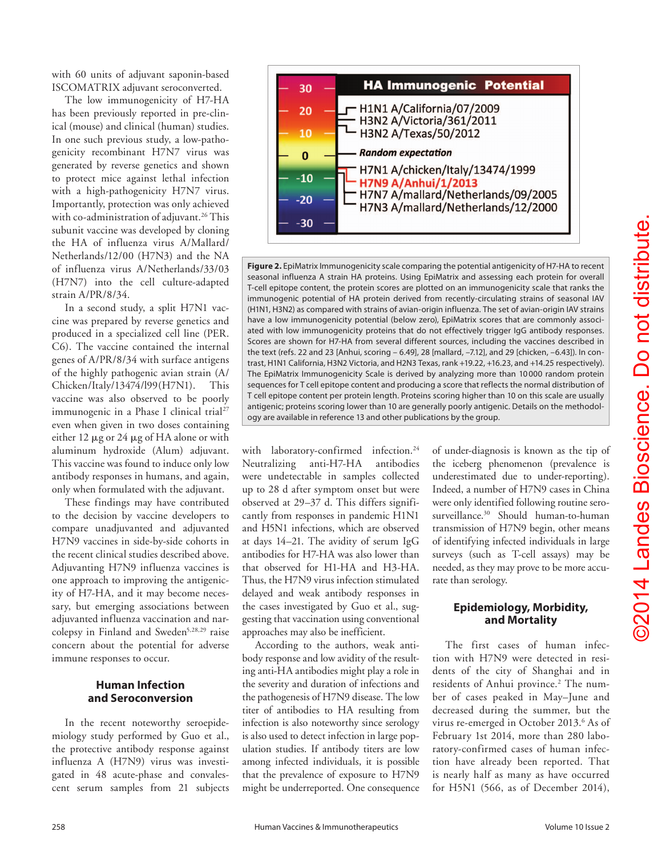with 60 units of adjuvant saponin-based ISCOMATRIX adjuvant seroconverted.

The low immunogenicity of H7-HA has been previously reported in pre-clinical (mouse) and clinical (human) studies. In one such previous study, a low-pathogenicity recombinant H7N7 virus was generated by reverse genetics and shown to protect mice against lethal infection with a high-pathogenicity H7N7 virus. Importantly, protection was only achieved with co-administration of adjuvant.<sup>26</sup> This subunit vaccine was developed by cloning the HA of influenza virus A/Mallard/ Netherlands/12/00 (H7N3) and the NA of influenza virus A/Netherlands/33/03 (H7N7) into the cell culture-adapted strain A/PR/8/34.

In a second study, a split H7N1 vaccine was prepared by reverse genetics and produced in a specialized cell line (PER. C6). The vaccine contained the internal genes of A/PR/8/34 with surface antigens of the highly pathogenic avian strain (A/ Chicken/Italy/13474/l99(H7N1). This vaccine was also observed to be poorly immunogenic in a Phase I clinical trial<sup>27</sup> even when given in two doses containing either 12 μg or 24 μg of HA alone or with aluminum hydroxide (Alum) adjuvant. This vaccine was found to induce only low antibody responses in humans, and again, only when formulated with the adjuvant.

These findings may have contributed to the decision by vaccine developers to compare unadjuvanted and adjuvanted H7N9 vaccines in side-by-side cohorts in the recent clinical studies described above. Adjuvanting H7N9 influenza vaccines is one approach to improving the antigenicity of H7-HA, and it may become necessary, but emerging associations between adjuvanted influenza vaccination and narcolepsy in Finland and Sweden<sup>5,28,29</sup> raise concern about the potential for adverse immune responses to occur.

#### **Human Infection and Seroconversion**

In the recent noteworthy seroepidemiology study performed by Guo et al., the protective antibody response against influenza A (H7N9) virus was investigated in 48 acute-phase and convalescent serum samples from 21 subjects



**Figure 2.** EpiMatrix Immunogenicity scale comparing the potential antigenicity of H7-HA to recent seasonal influenza A strain HA proteins. Using EpiMatrix and assessing each protein for overall T-cell epitope content, the protein scores are plotted on an immunogenicity scale that ranks the immunogenic potential of HA protein derived from recently-circulating strains of seasonal IAV (H1N1, H3N2) as compared with strains of avian-origin influenza. The set of avian-origin IAV strains have a low immunogenicity potential (below zero), EpiMatrix scores that are commonly associated with low immunogenicity proteins that do not effectively trigger IgG antibody responses. Scores are shown for H7-HA from several different sources, including the vaccines described in the text (refs. 22 and 23 [Anhui, scoring – 6.49], 28 [mallard, –7.12], and 29 [chicken, –6.43]). In contrast, H1N1 California, H3N2 Victoria, and H2N3 Texas, rank +19.22, +16.23, and +14.25 respectively). The EpiMatrix Immunogenicity Scale is derived by analyzing more than 10 000 random protein sequences for T cell epitope content and producing a score that reflects the normal distribution of T cell epitope content per protein length. Proteins scoring higher than 10 on this scale are usually antigenic; proteins scoring lower than 10 are generally poorly antigenic. Details on the methodology are available in reference 13 and other publications by the group.

with laboratory-confirmed infection.<sup>24</sup> Neutralizing anti-H7-HA antibodies were undetectable in samples collected up to 28 d after symptom onset but were observed at 29–37 d. This differs significantly from responses in pandemic H1N1 and H5N1 infections, which are observed at days 14–21. The avidity of serum IgG antibodies for H7-HA was also lower than that observed for H1-HA and H3-HA. Thus, the H7N9 virus infection stimulated delayed and weak antibody responses in the cases investigated by Guo et al., suggesting that vaccination using conventional approaches may also be inefficient.

According to the authors, weak antibody response and low avidity of the resulting anti-HA antibodies might play a role in the severity and duration of infections and the pathogenesis of H7N9 disease. The low titer of antibodies to HA resulting from infection is also noteworthy since serology is also used to detect infection in large population studies. If antibody titers are low among infected individuals, it is possible that the prevalence of exposure to H7N9 might be underreported. One consequence of under-diagnosis is known as the tip of the iceberg phenomenon (prevalence is underestimated due to under-reporting). Indeed, a number of H7N9 cases in China were only identified following routine serosurveillance.30 Should human-to-human transmission of H7N9 begin, other means of identifying infected individuals in large surveys (such as T-cell assays) may be needed, as they may prove to be more accurate than serology.

#### **Epidemiology, Morbidity, and Mortality**

The first cases of human infection with H7N9 were detected in residents of the city of Shanghai and in residents of Anhui province.<sup>2</sup> The number of cases peaked in May–June and decreased during the summer, but the virus re-emerged in October 2013.<sup>6</sup> As of February 1st 2014, more than 280 laboratory-confirmed cases of human infection have already been reported. That is nearly half as many as have occurred for H5N1 (566, as of December 2014),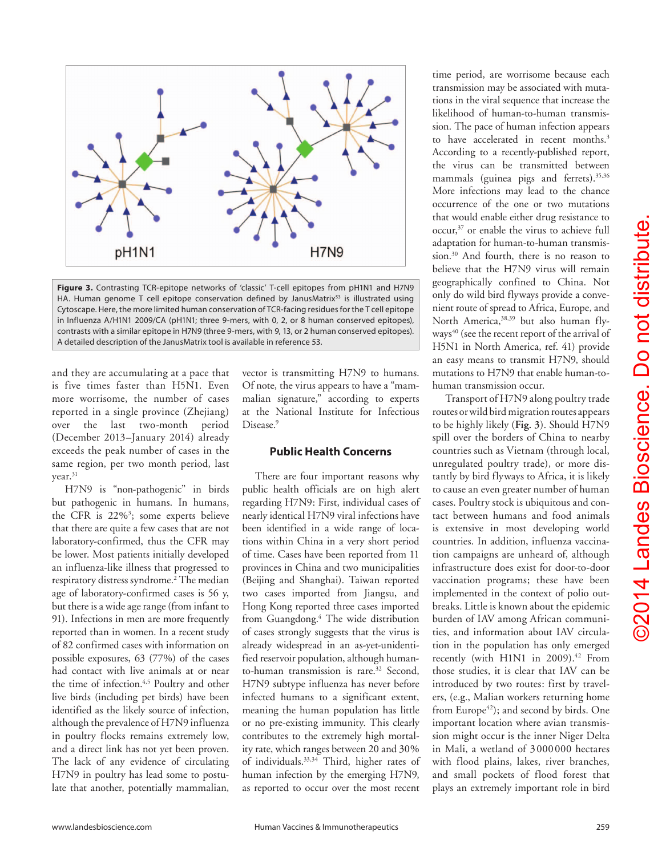

**Figure 3.** Contrasting TCR-epitope networks of 'classic' T-cell epitopes from pH1N1 and H7N9 HA. Human genome T cell epitope conservation defined by JanusMatrix<sup>53</sup> is illustrated using Cytoscape. Here, the more limited human conservation of TCR-facing residues for the T cell epitope in Influenza A/H1N1 2009/CA (pH1N1; three 9-mers, with 0, 2, or 8 human conserved epitopes), contrasts with a similar epitope in H7N9 (three 9-mers, with 9, 13, or 2 human conserved epitopes). A detailed description of the JanusMatrix tool is available in reference 53.

and they are accumulating at a pace that is five times faster than H5N1. Even more worrisome, the number of cases reported in a single province (Zhejiang) over the last two-month period (December 2013–January 2014) already exceeds the peak number of cases in the same region, per two month period, last year.<sup>31</sup>

H7N9 is "non-pathogenic" in birds but pathogenic in humans. In humans, the CFR is 22%3 ; some experts believe that there are quite a few cases that are not laboratory-confirmed, thus the CFR may be lower. Most patients initially developed an influenza-like illness that progressed to respiratory distress syndrome.<sup>2</sup> The median age of laboratory-confirmed cases is 56 y, but there is a wide age range (from infant to 91). Infections in men are more frequently reported than in women. In a recent study of 82 confirmed cases with information on possible exposures, 63 (77%) of the cases had contact with live animals at or near the time of infection.<sup>4,5</sup> Poultry and other live birds (including pet birds) have been identified as the likely source of infection, although the prevalence of H7N9 influenza in poultry flocks remains extremely low, and a direct link has not yet been proven. The lack of any evidence of circulating H7N9 in poultry has lead some to postulate that another, potentially mammalian,

vector is transmitting H7N9 to humans. Of note, the virus appears to have a "mammalian signature," according to experts at the National Institute for Infectious Disease.<sup>9</sup>

## **Public Health Concerns**

There are four important reasons why public health officials are on high alert regarding H7N9: First, individual cases of nearly identical H7N9 viral infections have been identified in a wide range of locations within China in a very short period of time. Cases have been reported from 11 provinces in China and two municipalities (Beijing and Shanghai). Taiwan reported two cases imported from Jiangsu, and Hong Kong reported three cases imported from Guangdong.4 The wide distribution of cases strongly suggests that the virus is already widespread in an as-yet-unidentified reservoir population, although humanto-human transmission is rare.<sup>32</sup> Second, H7N9 subtype influenza has never before infected humans to a significant extent, meaning the human population has little or no pre-existing immunity. This clearly contributes to the extremely high mortality rate, which ranges between 20 and 30% of individuals.33,34 Third, higher rates of human infection by the emerging H7N9, as reported to occur over the most recent

time period, are worrisome because each transmission may be associated with mutations in the viral sequence that increase the likelihood of human-to-human transmission. The pace of human infection appears to have accelerated in recent months.<sup>3</sup> According to a recently-published report, the virus can be transmitted between mammals (guinea pigs and ferrets).<sup>35,36</sup> More infections may lead to the chance occurrence of the one or two mutations that would enable either drug resistance to occur,37 or enable the virus to achieve full adaptation for human-to-human transmission.30 And fourth, there is no reason to believe that the H7N9 virus will remain geographically confined to China. Not only do wild bird flyways provide a convenient route of spread to Africa, Europe, and North America, 38,39 but also human flyways<sup>40</sup> (see the recent report of the arrival of H5N1 in North America, ref. 41) provide an easy means to transmit H7N9, should mutations to H7N9 that enable human-tohuman transmission occur.

Transport of H7N9 along poultry trade routes or wild bird migration routes appears to be highly likely (**Fig. 3**). Should H7N9 spill over the borders of China to nearby countries such as Vietnam (through local, unregulated poultry trade), or more distantly by bird flyways to Africa, it is likely to cause an even greater number of human cases. Poultry stock is ubiquitous and contact between humans and food animals is extensive in most developing world countries. In addition, influenza vaccination campaigns are unheard of, although infrastructure does exist for door-to-door vaccination programs; these have been implemented in the context of polio outbreaks. Little is known about the epidemic burden of IAV among African communities, and information about IAV circulation in the population has only emerged recently (with H1N1 in 2009).<sup>42</sup> From those studies, it is clear that IAV can be introduced by two routes: first by travelers, (e.g., Malian workers returning home from Europe<sup>42</sup>); and second by birds. One important location where avian transmission might occur is the inner Niger Delta in Mali, a wetland of 3000 000 hectares with flood plains, lakes, river branches, and small pockets of flood forest that plays an extremely important role in bird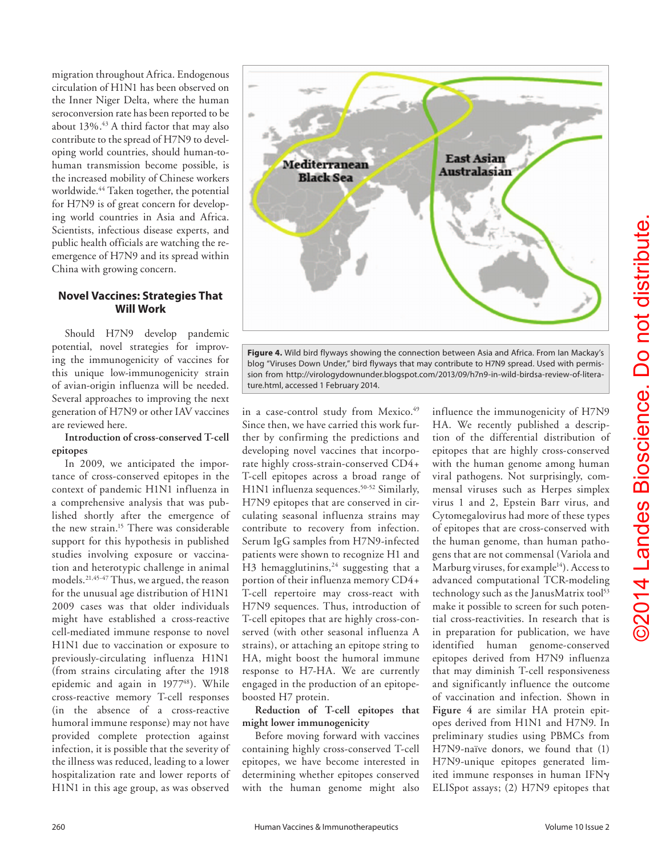migration throughout Africa. Endogenous circulation of H1N1 has been observed on the Inner Niger Delta, where the human seroconversion rate has been reported to be about  $13\%$ .<sup>43</sup> A third factor that may also contribute to the spread of H7N9 to developing world countries, should human-tohuman transmission become possible, is the increased mobility of Chinese workers worldwide.<sup>44</sup> Taken together, the potential for H7N9 is of great concern for developing world countries in Asia and Africa. Scientists, infectious disease experts, and public health officials are watching the reemergence of H7N9 and its spread within China with growing concern.

#### **Novel Vaccines: Strategies That Will Work**

Should H7N9 develop pandemic potential, novel strategies for improving the immunogenicity of vaccines for this unique low-immunogenicity strain of avian-origin influenza will be needed. Several approaches to improving the next generation of H7N9 or other IAV vaccines are reviewed here.

## **Introduction of cross-conserved T-cell epitopes**

In 2009, we anticipated the importance of cross-conserved epitopes in the context of pandemic H1N1 influenza in a comprehensive analysis that was published shortly after the emergence of the new strain.15 There was considerable support for this hypothesis in published studies involving exposure or vaccination and heterotypic challenge in animal models.21,45-47 Thus, we argued, the reason for the unusual age distribution of H1N1 2009 cases was that older individuals might have established a cross-reactive cell-mediated immune response to novel H1N1 due to vaccination or exposure to previously-circulating influenza H1N1 (from strains circulating after the 1918 epidemic and again in 1977<sup>48</sup>). While cross-reactive memory T-cell responses (in the absence of a cross-reactive humoral immune response) may not have provided complete protection against infection, it is possible that the severity of the illness was reduced, leading to a lower hospitalization rate and lower reports of H1N1 in this age group, as was observed



**Figure 4.** Wild bird flyways showing the connection between Asia and Africa. From Ian Mackay's blog "Viruses Down Under," bird flyways that may contribute to H7N9 spread. Used with permission from http://virologydownunder.blogspot.com/2013/09/h7n9-in-wild-birdsa-review-of-literature.html, accessed 1 February 2014.

in a case-control study from Mexico.<sup>49</sup> Since then, we have carried this work further by confirming the predictions and developing novel vaccines that incorporate highly cross-strain-conserved CD4+ T-cell epitopes across a broad range of H1N1 influenza sequences.<sup>50-52</sup> Similarly, H7N9 epitopes that are conserved in circulating seasonal influenza strains may contribute to recovery from infection. Serum IgG samples from H7N9-infected patients were shown to recognize H1 and H3 hemagglutinins,  $24$  suggesting that a portion of their influenza memory CD4+ T-cell repertoire may cross-react with H7N9 sequences. Thus, introduction of T-cell epitopes that are highly cross-conserved (with other seasonal influenza A strains), or attaching an epitope string to HA, might boost the humoral immune response to H7-HA. We are currently engaged in the production of an epitopeboosted H7 protein.

#### **Reduction of T-cell epitopes that might lower immunogenicity**

Before moving forward with vaccines containing highly cross-conserved T-cell epitopes, we have become interested in determining whether epitopes conserved with the human genome might also

influence the immunogenicity of H7N9 HA. We recently published a description of the differential distribution of epitopes that are highly cross-conserved with the human genome among human viral pathogens. Not surprisingly, commensal viruses such as Herpes simplex virus 1 and 2, Epstein Barr virus, and Cytomegalovirus had more of these types of epitopes that are cross-conserved with the human genome, than human pathogens that are not commensal (Variola and Marburg viruses, for example<sup>14</sup>). Access to advanced computational TCR-modeling technology such as the JanusMatrix tool<sup>53</sup> make it possible to screen for such potential cross-reactivities. In research that is in preparation for publication, we have identified human genome-conserved epitopes derived from H7N9 influenza that may diminish T-cell responsiveness and significantly influence the outcome of vaccination and infection. Shown in **Figure 4** are similar HA protein epitopes derived from H1N1 and H7N9. In preliminary studies using PBMCs from H7N9-naïve donors, we found that (1) H7N9-unique epitopes generated limited immune responses in human IFNγ ELISpot assays; (2) H7N9 epitopes that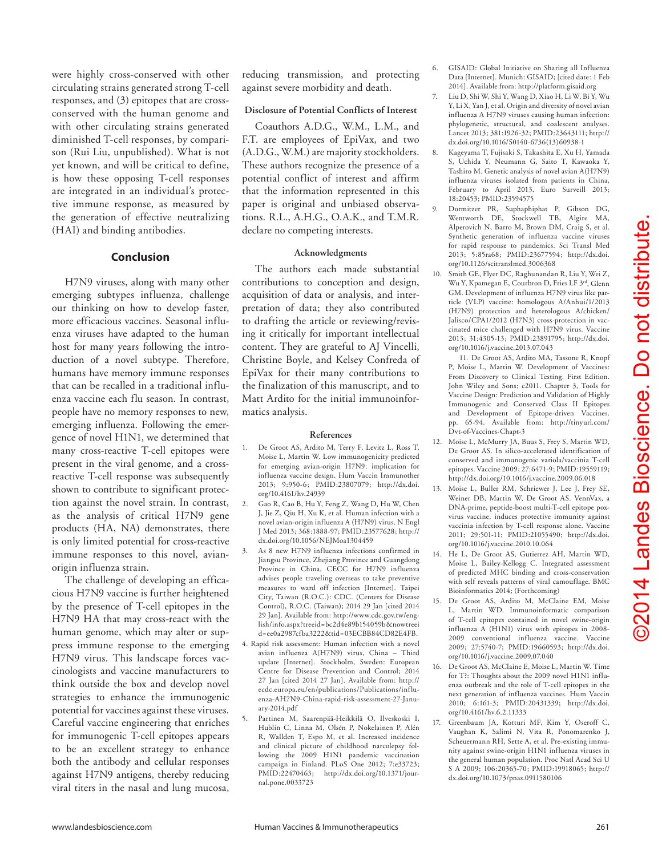were highly cross-conserved with other circulating strains generated strong T-cell responses, and (3) epitopes that are crossconserved with the human genome and with other circulating strains generated diminished T-cell responses, by comparison (Rui Liu, unpublished). What is not yet known, and will be critical to define, is how these opposing T-cell responses are integrated in an individual's protective immune response, as measured by the generation of effective neutralizing (HAI) and binding antibodies.

#### **Conclusion**

H7N9 viruses, along with many other emerging subtypes influenza, challenge our thinking on how to develop faster, more efficacious vaccines. Seasonal influenza viruses have adapted to the human host for many years following the introduction of a novel subtype. Therefore, humans have memory immune responses that can be recalled in a traditional influenza vaccine each flu season. In contrast, people have no memory responses to new, emerging influenza. Following the emergence of novel H1N1, we determined that many cross-reactive T-cell epitopes were present in the viral genome, and a crossreactive T-cell response was subsequently shown to contribute to significant protection against the novel strain. In contrast, as the analysis of critical H7N9 gene products (HA, NA) demonstrates, there is only limited potential for cross-reactive immune responses to this novel, avianorigin influenza strain.

The challenge of developing an efficacious H7N9 vaccine is further heightened by the presence of T-cell epitopes in the H7N9 HA that may cross-react with the human genome, which may alter or suppress immune response to the emerging H7N9 virus. This landscape forces vaccinologists and vaccine manufacturers to think outside the box and develop novel strategies to enhance the immunogenic potential for vaccines against these viruses. Careful vaccine engineering that enriches for immunogenic T-cell epitopes appears to be an excellent strategy to enhance both the antibody and cellular responses against H7N9 antigens, thereby reducing viral titers in the nasal and lung mucosa,

reducing transmission, and protecting against severe morbidity and death.

#### **Disclosure of Potential Conflicts of Interest**

Coauthors A.D.G., W.M., L.M., and F.T. are employees of EpiVax, and two (A.D.G., W.M.) are majority stockholders. These authors recognize the presence of a potential conflict of interest and affirm that the information represented in this paper is original and unbiased observations. R.L., A.H.G., O.A.K., and T.M.R. declare no competing interests.

#### **Acknowledgments**

The authors each made substantial contributions to conception and design, acquisition of data or analysis, and interpretation of data; they also contributed to drafting the article or reviewing/revising it critically for important intellectual content. They are grateful to AJ Vincelli, Christine Boyle, and Kelsey Confreda of EpiVax for their many contributions to the finalization of this manuscript, and to Matt Ardito for the initial immunoinformatics analysis.

#### **References**

- 1. De Groot AS, Ardito M, Terry F, Levitz L, Ross T, Moise L, Martin W. Low immunogenicity predicted for emerging avian-origin H7N9: implication for influenza vaccine design. Hum Vaccin Immunother 2013; 9:950-6; PMID:23807079; http://dx.doi. org/10.4161/hv.24939
- 2. Gao R, Cao B, Hu Y, Feng Z, Wang D, Hu W, Chen J, Jie Z, Qiu H, Xu K, et al. Human infection with a novel avian-origin influenza A (H7N9) virus. N Engl J Med 2013; 368:1888-97; PMID:23577628; http:// dx.doi.org/10.1056/NEJMoa1304459
- 3. As 8 new H7N9 influenza infections confirmed in Jiangsu Province, Zhejiang Province and Guangdong Province in China, CECC for H7N9 influenza advises people traveling overseas to take preventive measures to ward off infection [Internet]. Taipei City, Taiwan (R.O.C.): CDC. (Centers for Disease Control), R.O.C. (Taiwan); 2014 29 Jan [cited 2014 29 Jan]. Available from: http://www.cdc.gov.tw/english/info.aspx?treeid=bc2d4e89b154059b&nowtreei d=ee0a2987cfba3222&tid=03ECBB84CD82E4FB.
- 4. Rapid risk assessment: Human infection with a novel avian influenza A(H7N9) virus, China – Third update [Internet]. Stockholm, Sweden: European Centre for Disease Prevention and Control; 2014 27 Jan [cited 2014 27 Jan]. Available from: http:// ecdc.europa.eu/en/publications/Publications/influenza-AH7N9-China-rapid-risk-assessment-27-January-2014.pdf
- 5. Partinen M, Saarenpää-Heikkilä O, Ilveskoski I, Hublin C, Linna M, Olsén P, Nokelainen P, Alén R, Wallden T, Espo M, et al. Increased incidence and clinical picture of childhood narcolepsy following the 2009 H1N1 pandemic vaccination campaign in Finland. PLoS One 2012; 7:e33723; PMID:22470463; http://dx.doi.org/10.1371/journal.pone.0033723
- 6. GISAID: Global Initiative on Sharing all Influenza Data [Internet]. Munich: GISAID; [cited date: 1 Feb 2014]. Available from: http://platform.gisaid.org
- Liu D, Shi W, Shi Y, Wang D, Xiao H, Li W, Bi Y, Wu Y, Li X, Yan J, et al. Origin and diversity of novel avian influenza A H7N9 viruses causing human infection: phylogenetic, structural, and coalescent analyses. Lancet 2013; 381:1926-32; PMID:23643111; http:// dx.doi.org/10.1016/S0140-6736(13)60938-1
- 8. Kageyama T, Fujisaki S, Takashita E, Xu H, Yamada S, Uchida Y, Neumann G, Saito T, Kawaoka Y, Tashiro M. Genetic analysis of novel avian A(H7N9) influenza viruses isolated from patients in China, February to April 2013. Euro Surveill 2013; 18:20453; PMID:23594575
- 9. Dormitzer PR, Suphaphiphat P, Gibson DG, Wentworth DE, Stockwell TB, Algire MA, Alperovich N, Barro M, Brown DM, Craig S, et al. Synthetic generation of influenza vaccine viruses for rapid response to pandemics. Sci Transl Med 2013; 5:85ra68; PMID:23677594; http://dx.doi. org/10.1126/scitranslmed.3006368
- 10. Smith GE, Flyer DC, Raghunandan R, Liu Y, Wei Z, Wu Y, Kpamegan E, Courbron D, Fries LF $3^{\rm rd}$ , Glenn GM. Development of influenza H7N9 virus like particle (VLP) vaccine: homologous A/Anhui/1/2013 (H7N9) protection and heterologous A/chicken/ Jalisco/CPA1/2012 (H7N3) cross-protection in vaccinated mice challenged with H7N9 virus. Vaccine 2013; 31:4305-13; PMID:23891795; http://dx.doi. org/10.1016/j.vaccine.2013.07.043

11. De Groot AS, Ardito MA, Tassone R, Knopf P, Moise L, Martin W. Development of Vaccines: From Discovery to Clinical Testing. First Edition. John Wiley and Sons; c2011. Chapter 3, Tools for Vaccine Design: Prediction and Validation of Highly Immunogenic and Conserved Class II Epitopes and Development of Epitope-driven Vaccines. pp. 65-94. Available from: http://tinyurl.com/ Dvt-of-Vaccines-Chapt-3

- Moise L, McMurry JA, Buus S, Frey S, Martin WD, De Groot AS. In silico-accelerated identification of conserved and immunogenic variola/vaccinia T-cell epitopes. Vaccine 2009; 27:6471-9; PMID:19559119; http://dx.doi.org/10.1016/j.vaccine.2009.06.018
- 13. Moise L, Buller RM, Schriewer J, Lee J, Frey SE, Weiner DB, Martin W, De Groot AS. VennVax, a DNA-prime, peptide-boost multi-T-cell epitope poxvirus vaccine, induces protective immunity against vaccinia infection by T-cell response alone. Vaccine 2011; 29:501-11; PMID:21055490; http://dx.doi. org/10.1016/j.vaccine.2010.10.064
- 14. He L, De Groot AS, Gutierrez AH, Martin WD, Moise L, Bailey-Kellogg C. Integrated assessment of predicted MHC binding and cross-conservation with self reveals patterns of viral camouflage. BMC Bioinformatics 2014; (Forthcoming)
- 15. De Groot AS, Ardito M, McClaine EM, Moise Martin WD. Immunoinformatic comparison of T-cell epitopes contained in novel swine-origin influenza A (H1N1) virus with epitopes in 2008- 2009 conventional influenza vaccine. Vaccine 2009; 27:5740-7; PMID:19660593; http://dx.doi. org/10.1016/j.vaccine.2009.07.040
- 16. De Groot AS, McClaine E, Moise L, Martin W. Time for T?: Thoughts about the 2009 novel H1N1 influenza outbreak and the role of T-cell epitopes in the next generation of influenza vaccines. Hum Vaccin 2010; 6:161-3; PMID:20431339; http://dx.doi. org/10.4161/hv.6.2.11333
- 17. Greenbaum JA, Kotturi MF, Kim Y, Oseroff C, Vaughan K, Salimi N, Vita R, Ponomarenko J, Scheuermann RH, Sette A, et al. Pre-existing immunity against swine-origin H1N1 influenza viruses in the general human population. Proc Natl Acad Sci U S A 2009; 106:20365-70; PMID:19918065; http:// dx.doi.org/10.1073/pnas.0911580106